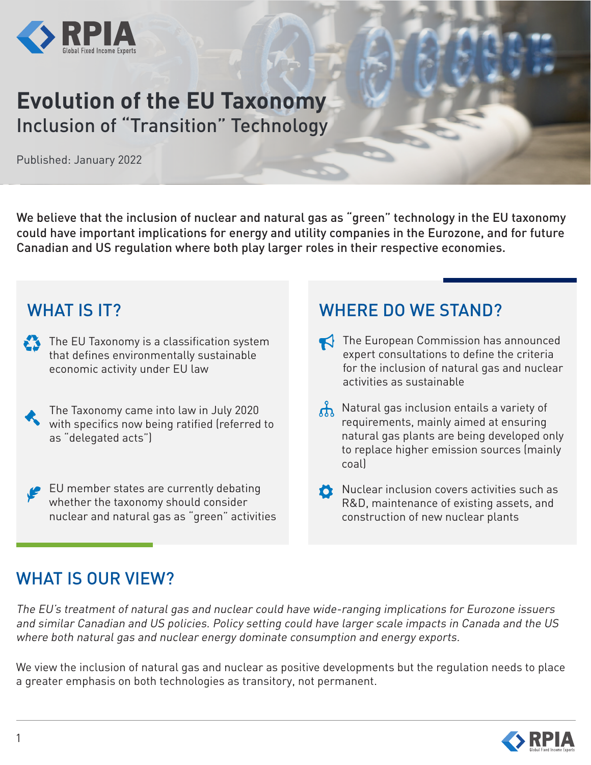

# **Evolution of the EU Taxonomy**  Inclusion of "Transition" Technology

Published: January 2022

We believe that the inclusion of nuclear and natural gas as "green" technology in the EU taxonomy could have important implications for energy and utility companies in the Eurozone, and for future Canadian and US regulation where both play larger roles in their respective economies.

### WHAT IS **IT?**

- $\sum$  The EU Taxonomy is a classification system that defines environmentally sustainable economic activity under EU law
- 
- The Taxonomy came into law in July 2020 with specifics now being ratified (referred to as "delegated acts")

EU member states are currently debating whether the taxonomy should consider nuclear and natural gas as "green" activities

## WHERE DO WE STAND?

- The European Commission has announced expert consultations to define the criteria for the inclusion of natural gas and nuclear activities as sustainable
- $\Lambda$  Natural gas inclusion entails a variety of requirements, mainly aimed at ensuring natural gas plants are being developed only to replace higher emission sources (mainly coal)
- Nuclear inclusion covers activities such as R&D, maintenance of existing assets, and construction of new nuclear plants

# WHAT IS OUR VIEW?

The EU's treatment of natural gas and nuclear could have wide-ranging implications for Eurozone issuers and similar Canadian and US policies. Policy setting could have larger scale impacts in Canada and the US where both natural gas and nuclear energy dominate consumption and energy exports.

We view the inclusion of natural gas and nuclear as positive developments but the regulation needs to place a greater emphasis on both technologies as transitory, not permanent.

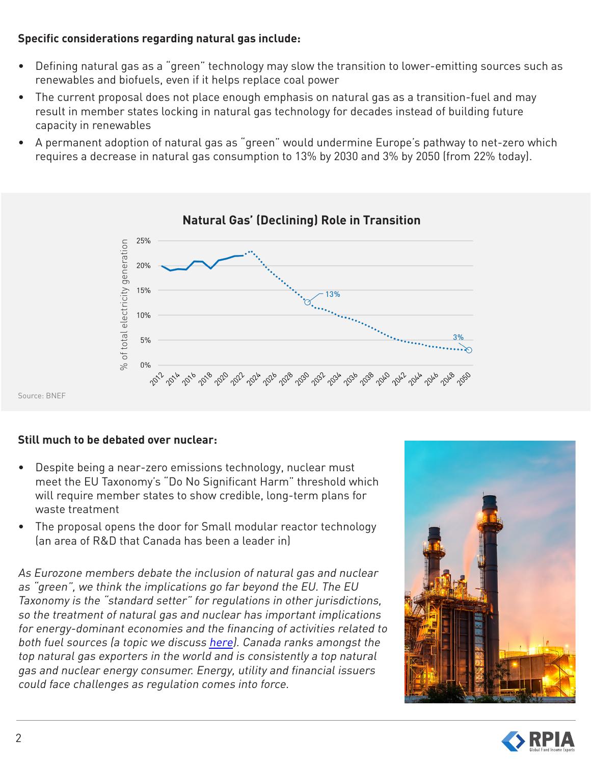### **Specific considerations regarding natural gas include:**

- Defining natural gas as a "green" technology may slow the transition to lower-emitting sources such as renewables and biofuels, even if it helps replace coal power
- The current proposal does not place enough emphasis on natural gas as a transition-fuel and may result in member states locking in natural gas technology for decades instead of building future capacity in renewables
- A permanent adoption of natural gas as "green" would undermine Europe's pathway to net-zero which requires a decrease in natural gas consumption to 13% by 2030 and 3% by 2050 (from 22% today).



#### **Natural Gas' (Declining) Role in Transition**

Source: BNEF

### **Still much to be debated over nuclear:**

- Despite being a near-zero emissions technology, nuclear must meet the EU Taxonomy's "Do No Significant Harm" threshold which will require member states to show credible, long-term plans for waste treatment
- The proposal opens the door for Small modular reactor technology (an area of R&D that Canada has been a leader in)

As Eurozone members debate the inclusion of natural gas and nuclear as "green", we think the implications go far beyond the EU. The EU Taxonomy is the "standard setter" for regulations in other jurisdictions, so the treatment of natural gas and nuclear has important implications for energy-dominant economies and the financing of activities related to both fuel sources (a topic we discuss [here](https://rpia.ca/docs/default-source/white-papers/financial-institutions---in-scope---the-role-of-financed-emissions-on-the-path-to-net-zero.pdf?sfvrsn=f718e44a_3/Financial-Institutions---In-Scope---The-Role-of-Financed-Emissions-on-the-Path-to-Net-Zero.pdf)). Canada ranks amongst the top natural gas exporters in the world and is consistently a top natural gas and nuclear energy consumer. Energy, utility and financial issuers could face challenges as regulation comes into force.